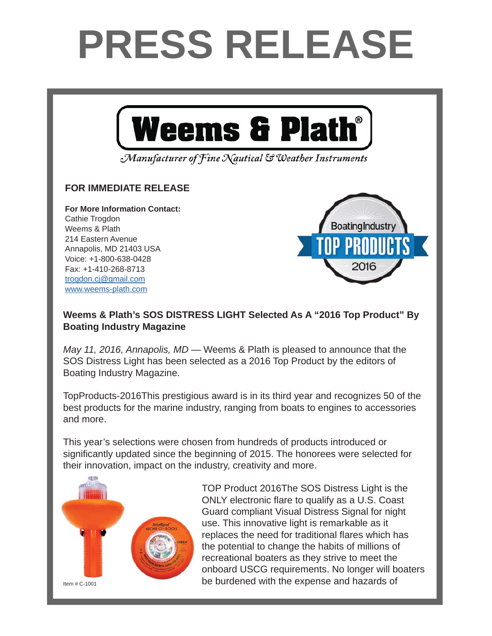## **PRESS RELEASE**



Manufacturer of Fine Nautical & Weather Instruments

## **FOR IMMEDIATE RELEASE FOR IMMEDIATE RELEASE**

**For More Information Contact: For More Information Contact:** Cathie Trogdon Weems & Plath 214 Eastern Avenue Annapolis, MD 21403 USA Voice: +1-800-638-0428 Fax: +1-410-268-8713 <u>trogdon.cj@gmail.com</u> www.weems-plath.com



## Weems & Plath's SOS DISTRESS LIGHT Selected As A "2016 Top Product" By **Boating Industry Magazine**

*May 11, 2016, Annapolis, MD* — Weems & Plath is pleased to announce that the podcast *On the Wind*, hosted by professional sailor & yachting journalist Andy Schell SOS Distress Light has been selected as a 2016 Top Product by the editors of<br>Deating Industry Magazine Boating Industry Magazine.

TopProducts-2016This prestigious award is in its third year and recognizes 50 of the  $\sum_{i=1}^{n}$  and more President Peter Trogdon, "and we at Weems & Plath are excited to help facilitate the best products for the marine industry, ranging from boats to engines to accessories and more.

This year's selections were chosen from hundreds of products introduced or significantly updated since the beginning of 2015. The honorees were selected for their innovation, impact on the industry, creativity and more. around the world, for about an hour at a time. Notable

Andy Schell. "Peter is an early adapter and caught onto to the podcast technology very



TOD Dreduct 2016 The SOS Dictress Light is the TOP Product 2016The SOS Distress Light is the ONLY electronic flare to qualify as a U.S. Coast Guard compliant Visual Distress Signal for night use. This innovative light is remarkable as it replaces the need for traditional flares which has  $\bullet$  the potential to change the habits of millions of between downloaded nearly one million to million to **publishes weekly on Tuesdays and increational boaters as they strive to meet the** onboard USCG requirements. No longer will boaters be burdened with the expense and hazards of